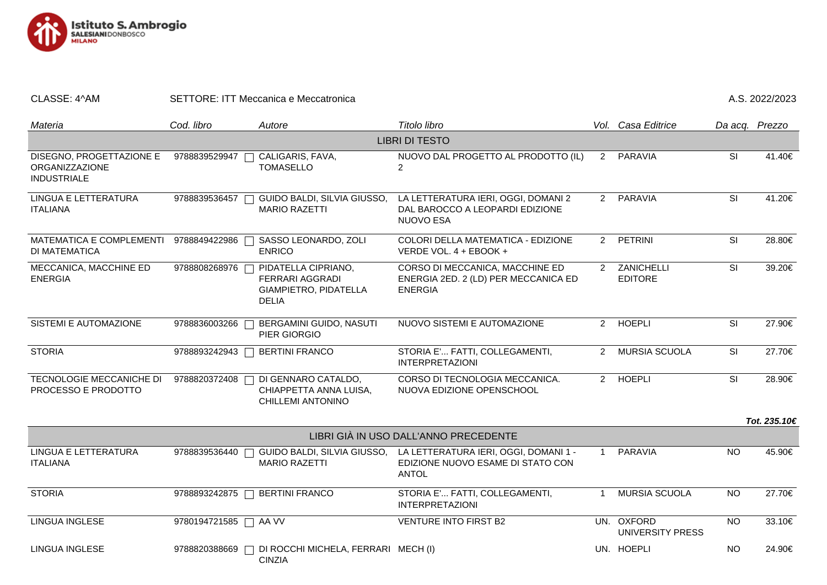

## CLASSE: 4^AM SETTORE: ITT Meccanica e Meccatronica A.S. 2022/2023

| Materia                                                                 | Cod. libro    | Autore                                                                          | Titolo libro                                                                                                           |                | Vol. Casa Editrice                    | Da acq. Prezzo           |              |  |  |  |  |
|-------------------------------------------------------------------------|---------------|---------------------------------------------------------------------------------|------------------------------------------------------------------------------------------------------------------------|----------------|---------------------------------------|--------------------------|--------------|--|--|--|--|
| <b>LIBRI DI TESTO</b>                                                   |               |                                                                                 |                                                                                                                        |                |                                       |                          |              |  |  |  |  |
| DISEGNO, PROGETTAZIONE E<br><b>ORGANIZZAZIONE</b><br><b>INDUSTRIALE</b> | 9788839529947 | CALIGARIS, FAVA,<br><b>TOMASELLO</b>                                            | NUOVO DAL PROGETTO AL PRODOTTO (IL)<br>$\overline{2}$                                                                  | $2^{\circ}$    | PARAVIA                               | SI                       | 41.40€       |  |  |  |  |
| LINGUA E LETTERATURA<br><b>ITALIANA</b>                                 | 9788839536457 | GUIDO BALDI, SILVIA GIUSSO,<br><b>MARIO RAZETTI</b>                             | LA LETTERATURA IERI, OGGI, DOMANI 2<br>DAL BAROCCO A LEOPARDI EDIZIONE<br>NUOVO ESA                                    |                | 2 PARAVIA                             | SI                       | 41.20€       |  |  |  |  |
| MATEMATICA E COMPLEMENTI<br>DI MATEMATICA                               | 9788849422986 | SASSO LEONARDO, ZOLI<br><b>ENRICO</b>                                           | COLORI DELLA MATEMATICA - EDIZIONE<br>VERDE VOL. 4 + EBOOK +                                                           | $2^{\circ}$    | PETRINI                               | SI                       | 28.80€       |  |  |  |  |
| MECCANICA, MACCHINE ED<br><b>ENERGIA</b>                                | 9788808268976 | PIDATELLA CIPRIANO,<br>FERRARI AGGRADI<br>GIAMPIETRO, PIDATELLA<br><b>DELIA</b> | CORSO DI MECCANICA, MACCHINE ED<br>ENERGIA 2ED. 2 (LD) PER MECCANICA ED<br><b>ENERGIA</b>                              |                | 2 ZANICHELLI<br><b>EDITORE</b>        | SI                       | 39.20€       |  |  |  |  |
| SISTEMI E AUTOMAZIONE                                                   | 9788836003266 | BERGAMINI GUIDO, NASUTI<br>PIER GIORGIO                                         | NUOVO SISTEMI E AUTOMAZIONE                                                                                            | $2^{\circ}$    | <b>HOEPLI</b>                         | $\overline{\mathsf{SI}}$ | 27.90€       |  |  |  |  |
| <b>STORIA</b>                                                           | 9788893242943 | <b>BERTINI FRANCO</b>                                                           | STORIA E'  FATTI, COLLEGAMENTI,<br><b>INTERPRETAZIONI</b>                                                              | $\overline{2}$ | MURSIA SCUOLA                         | SI                       | 27.70€       |  |  |  |  |
| TECNOLOGIE MECCANICHE DI<br>PROCESSO E PRODOTTO                         | 9788820372408 | DI GENNARO CATALDO,<br>CHIAPPETTA ANNA LUISA,<br>CHILLEMI ANTONINO              | CORSO DI TECNOLOGIA MECCANICA.<br>NUOVA EDIZIONE OPENSCHOOL                                                            |                | 2 HOEPLI                              | $\overline{\mathsf{SI}}$ | 28.90€       |  |  |  |  |
|                                                                         |               |                                                                                 |                                                                                                                        |                |                                       |                          | Tot. 235.10€ |  |  |  |  |
| LIBRI GIÀ IN USO DALL'ANNO PRECEDENTE                                   |               |                                                                                 |                                                                                                                        |                |                                       |                          |              |  |  |  |  |
| LINGUA E LETTERATURA<br><b>ITALIANA</b>                                 | 9788839536440 | <b>MARIO RAZETTI</b>                                                            | GUIDO BALDI, SILVIA GIUSSO, LA LETTERATURA IERI, OGGI, DOMANI 1 -<br>EDIZIONE NUOVO ESAME DI STATO CON<br><b>ANTOL</b> | -1             | <b>PARAVIA</b>                        | <b>NO</b>                | 45.90€       |  |  |  |  |
| <b>STORIA</b>                                                           |               | 9788893242875   BERTINI FRANCO                                                  | STORIA E' FATTI, COLLEGAMENTI,<br><b>INTERPRETAZIONI</b>                                                               | -1             | MURSIA SCUOLA                         | <b>NO</b>                | 27.70€       |  |  |  |  |
| LINGUA INGLESE                                                          | 9780194721585 | AA VV                                                                           | <b>VENTURE INTO FIRST B2</b>                                                                                           |                | UN. OXFORD<br><b>UNIVERSITY PRESS</b> | <b>NO</b>                | 33.10€       |  |  |  |  |
| <b>LINGUA INGLESE</b>                                                   | 9788820388669 | DI ROCCHI MICHELA, FERRARI MECH (I)<br><b>CINZIA</b>                            |                                                                                                                        |                | UN. HOEPLI                            | <b>NO</b>                | 24.90€       |  |  |  |  |